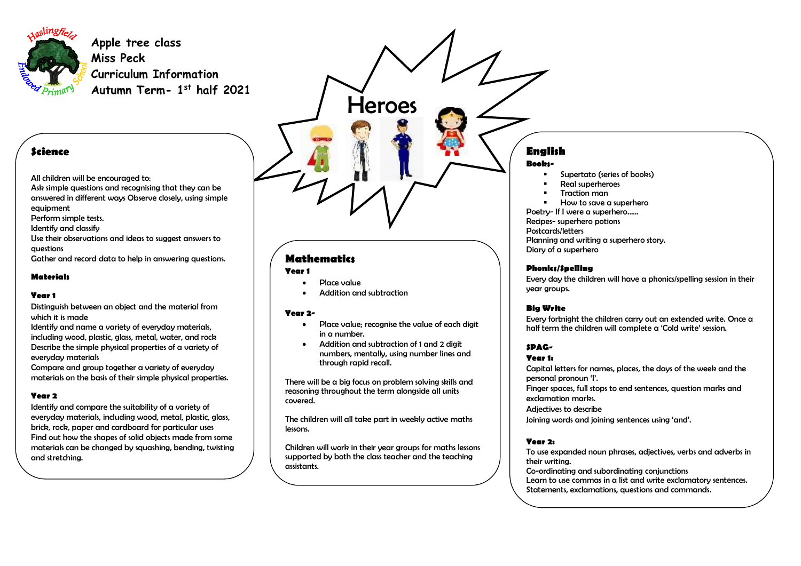

**Apple tree class Miss Peck Curriculum Information Autumn Term- 1 st half 2021** 

### **Science**

All children will be encouraged to:

Ask simple questions and recognising that they can be answered in different ways Observe closely, using simple equipment

Perform simple tests.

Identify and classify

Use their observations and ideas to suggest answers to questions

Gather and record data to help in answering questions.

#### **Materials**

#### **Year 1**

Distinguish between an object and the material from which it is made

Identify and name a variety of everyday materials, including wood, plastic, glass, metal, water, and rock Describe the simple physical properties of a variety of everyday materials

Compare and group together a variety of everyday materials on the basis of their simple physical properties.

#### **Year 2**

Identify and compare the suitability of a variety of everyday materials, including wood, metal, plastic, glass, brick, rock, paper and cardboard for particular uses Find out how the shapes of solid objects made from some materials can be changed by squashing, bending, twisting and stretching.

# Heroes

## **Mathematics**

#### **Year 1**

- Place value
- Addition and subtraction

#### **Year 2-**

- Place value: recognise the value of each digit in  $\alpha$  number
- Addition and subtraction of 1 and 2 digit numbers, mentally, using number lines and through rapid recall.

There will be a big focus on problem solving skills and reasoning throughout the term alongside all units covered.

The children will all take part in weekly active maths lessons.

Children will work in their year groups for maths lessons supported by both the class teacher and the teaching assistants.

# **English**

#### **Books-**

- Supertato (series of books)
- Real superheroes
- Traction man
- How to save a superhero

Poetry- If I were a superhero……

Recipes- superhero potions

Postcards/letters

Planning and writing a superhero story. Diary of a superhero

#### **Phonics/Spelling**

Every day the children will have a phonics/spelling session in their year groups.

#### **Big Write**

Every fortnight the children carry out an extended write. Once a half term the children will complete a 'Cold write' session.

#### **SPAG-**

#### **Year 1:**

Capital letters for names, places, the days of the week and the personal pronoun 'I'. Finger spaces, full stops to end sentences, question marks and exclamation marks.

Adjectives to describe

Joining words and joining sentences using 'and'.

#### **Year 2:**

To use expanded noun phrases, adjectives, verbs and adverbs in their writing. Co-ordinating and subordinating conjunctions Learn to use commas in a list and write exclamatory sentences. Statements, exclamations, questions and commands.